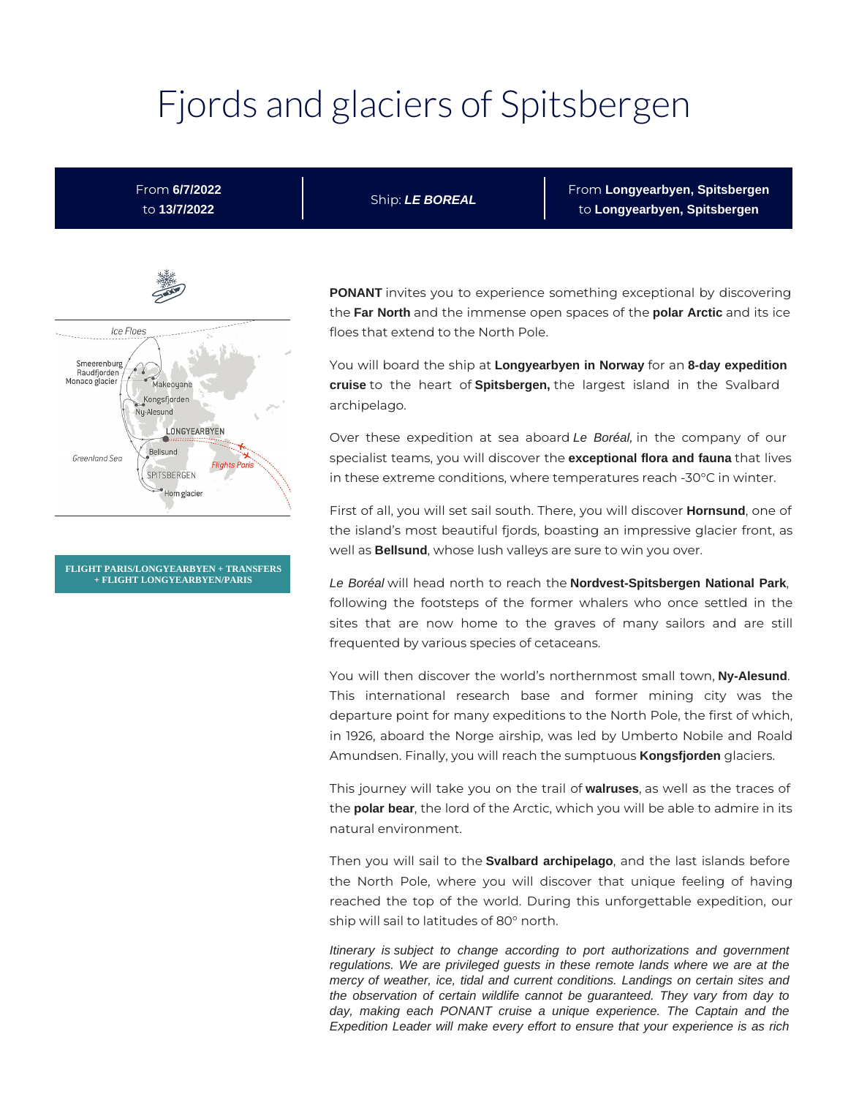# Fjords and glaciers of Spitsbergen

# From **6/7/2022** to **13/7/2022**

Ship: **LE BOREAL**

From **Longyearbyen, Spitsbergen** to **Longyearbyen, Spitsbergen**



**FLIGHT PARIS/LONGYEARBYEN + TRANSFERS + FLIGHT LONGYEARBYEN/PARIS**

**PONANT** invites you to experience something exceptional by discovering the **Far North** and the immense open spaces of the **polar Arctic** and its ice floes that extend to the North Pole.

You will board the ship at **Longyearbyen in Norway** for an **8-day expedition cruise** to the heart of **Spitsbergen,** the largest island in the Svalbard archipelago.

Over these expedition at sea aboard Le Boréal, in the company of our specialist teams, you will discover the **exceptional flora and fauna** that lives in these extreme conditions, where temperatures reach -30°C in winter.

First of all, you will set sail south. There, you will discover **Hornsund**, one of the island's most beautiful fjords, boasting an impressive glacier front, as well as **Bellsund**, whose lush valleys are sure to win you over.

Le Boréal will head north to reach the **Nordvest-Spitsbergen National Park**, following the footsteps of the former whalers who once settled in the sites that are now home to the graves of many sailors and are still frequented by various species of cetaceans.

You will then discover the world's northernmost small town, **Ny-Alesund**. This international research base and former mining city was the departure point for many expeditions to the North Pole, the first of which, in 1926, aboard the Norge airship, was led by Umberto Nobile and Roald Amundsen. Finally, you will reach the sumptuous **Kongsfjorden** glaciers.

This journey will take you on the trail of **walruses**, as well as the traces of the **polar bear**, the lord of the Arctic, which you will be able to admire in its natural environment.

Then you will sail to the **Svalbard archipelago**, and the last islands before the North Pole, where you will discover that unique feeling of having reached the top of the world. During this unforgettable expedition, our ship will sail to latitudes of 80° north.

Itinerary is subject to change according to port authorizations and government regulations. We are privileged guests in these remote lands where we are at the mercy of weather, ice, tidal and current conditions. Landings on certain sites and the observation of certain wildlife cannot be guaranteed. They vary from day to day, making each PONANT cruise a unique experience. The Captain and the Expedition Leader will make every effort to ensure that your experience is as rich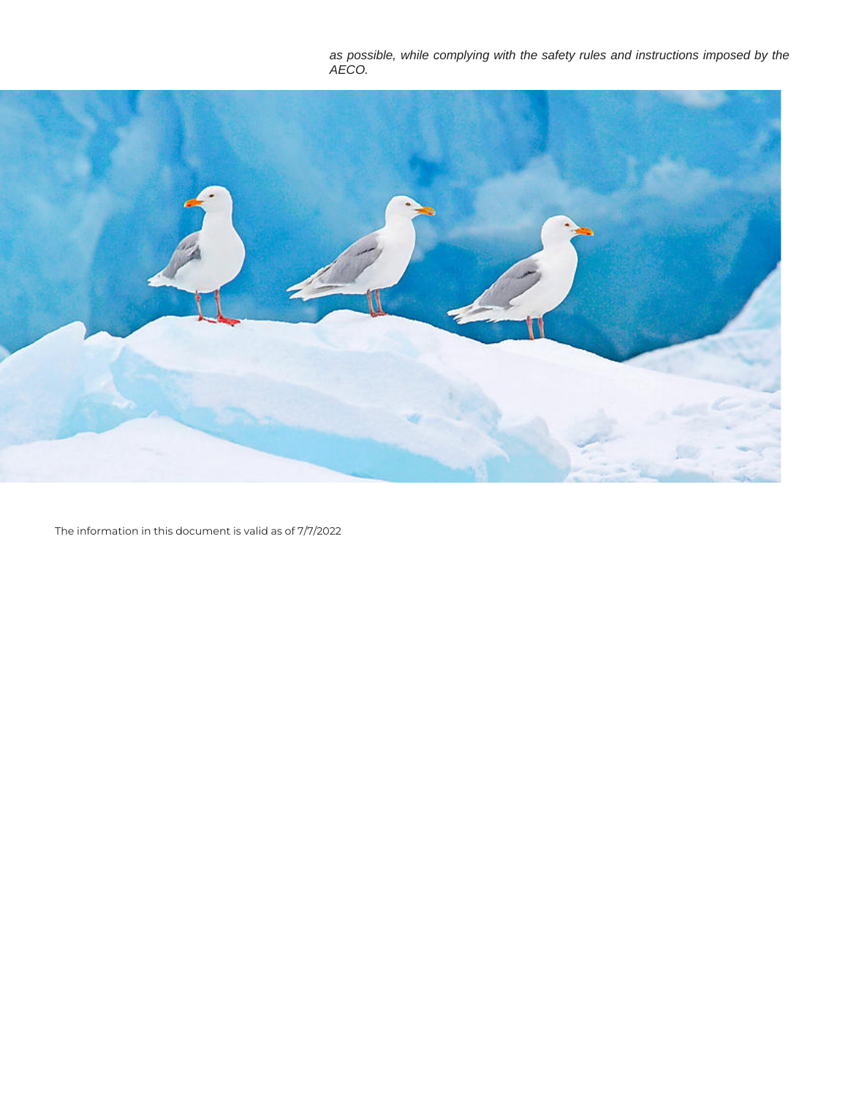as possible, while complying with the safety rules and instructions imposed by the AECO.



The information in this document is valid as of 7/7/2022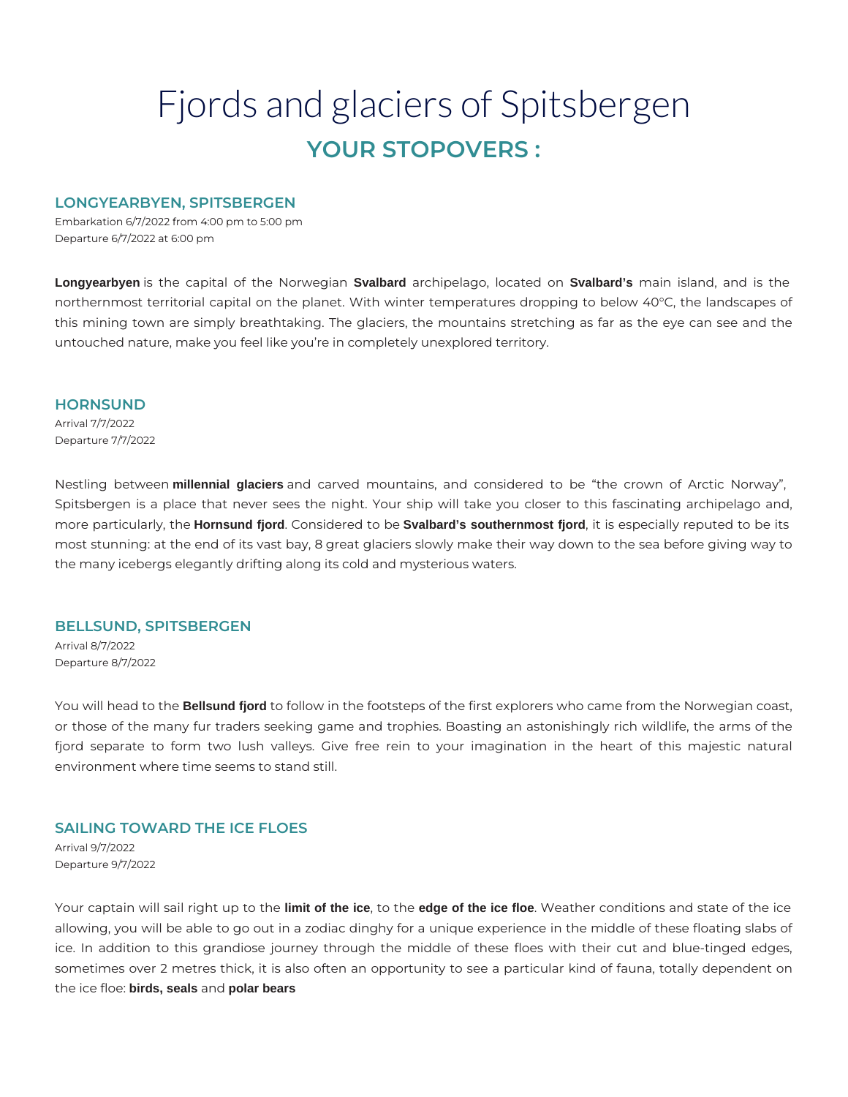# Fjords and glaciers of Spitsbergen **YOUR STOPOVERS :**

# **LONGYEARBYEN, SPITSBERGEN**

Embarkation 6/7/2022 from 4:00 pm to 5:00 pm Departure 6/7/2022 at 6:00 pm

**Longyearbyen** is the capital of the Norwegian **Svalbard** archipelago, located on **Svalbard's** main island, and is the northernmost territorial capital on the planet. With winter temperatures dropping to below 40°C, the landscapes of this mining town are simply breathtaking. The glaciers, the mountains stretching as far as the eye can see and the untouched nature, make you feel like you're in completely unexplored territory.

#### **HORNSUND**

Arrival 7/7/2022 Departure 7/7/2022

Nestling between **millennial glaciers** and carved mountains, and considered to be "the crown of Arctic Norway", Spitsbergen is a place that never sees the night. Your ship will take you closer to this fascinating archipelago and, more particularly, the **Hornsund fjord**. Considered to be **Svalbard's southernmost fjord**, it is especially reputed to be its most stunning: at the end of its vast bay, 8 great glaciers slowly make their way down to the sea before giving way to the many icebergs elegantly drifting along its cold and mysterious waters.

# **BELLSUND, SPITSBERGEN**

Arrival 8/7/2022 Departure 8/7/2022

You will head to the **Bellsund fjord** to follow in the footsteps of the first explorers who came from the Norwegian coast, or those of the many fur traders seeking game and trophies. Boasting an astonishingly rich wildlife, the arms of the fjord separate to form two lush valleys. Give free rein to your imagination in the heart of this majestic natural environment where time seems to stand still.

# **SAILING TOWARD THE ICE FLOES**

Arrival 9/7/2022 Departure 9/7/2022

Your captain will sail right up to the **limit of the ice**, to the **edge of the ice floe**. Weather conditions and state of the ice allowing, you will be able to go out in a zodiac dinghy for a unique experience in the middle of these floating slabs of ice. In addition to this grandiose journey through the middle of these floes with their cut and blue-tinged edges, sometimes over 2 metres thick, it is also often an opportunity to see a particular kind of fauna, totally dependent on the ice floe: **birds, seals** and **polar bears**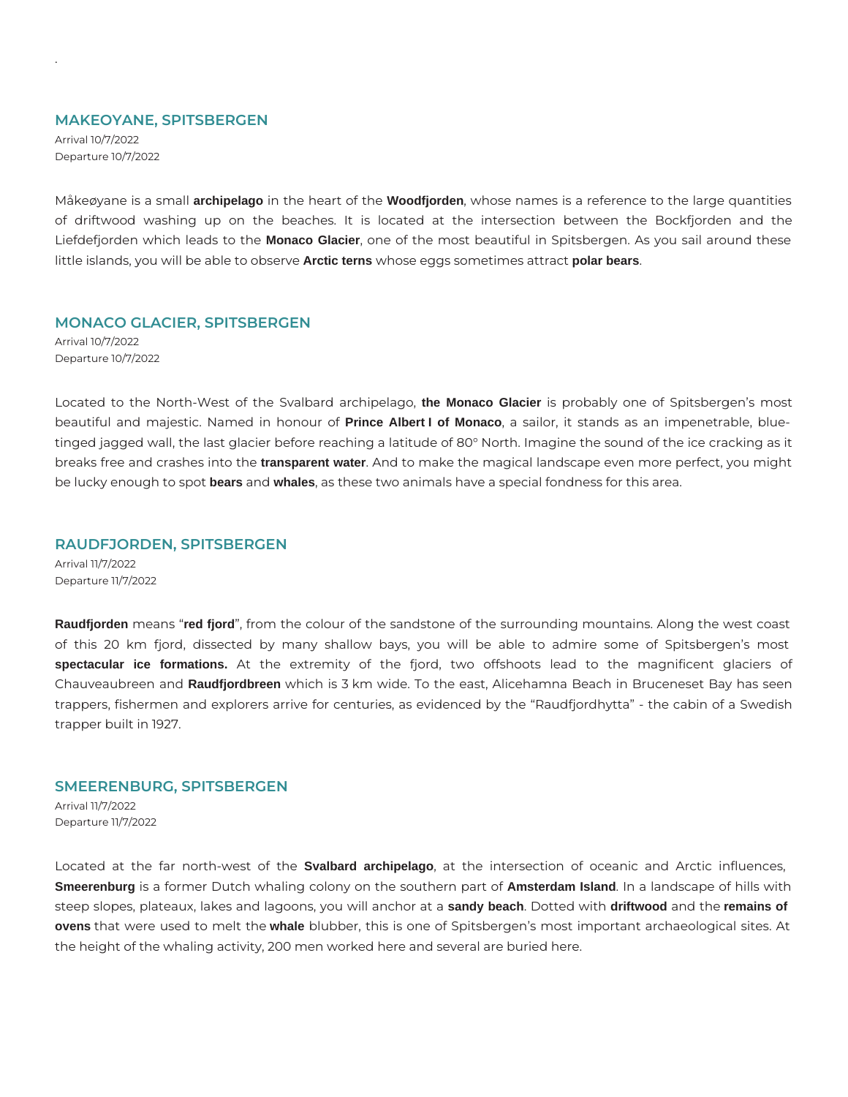#### **MAKEOYANE, SPITSBERGEN**

Arrival 10/7/2022 Departure 10/7/2022

.

Måkeøyane is a small **archipelago** in the heart of the **Woodfjorden**, whose names is a reference to the large quantities of driftwood washing up on the beaches. It is located at the intersection between the Bockfjorden and the Liefdefjorden which leads to the **Monaco Glacier**, one of the most beautiful in Spitsbergen. As you sail around these little islands, you will be able to observe **Arctic terns** whose eggs sometimes attract **polar bears**.

# **MONACO GLACIER, SPITSBERGEN**

Arrival 10/7/2022 Departure 10/7/2022

Located to the North-West of the Svalbard archipelago, **the Monaco Glacier** is probably one of Spitsbergen's most beautiful and majestic. Named in honour of **Prince Albert I of Monaco**, a sailor, it stands as an impenetrable, bluetinged jagged wall, the last glacier before reaching a latitude of 80° North. Imagine the sound of the ice cracking as it breaks free and crashes into the **transparent water**. And to make the magical landscape even more perfect, you might be lucky enough to spot **bears** and **whales**, as these two animals have a special fondness for this area.

# **RAUDFJORDEN, SPITSBERGEN**

Arrival 11/7/2022 Departure 11/7/2022

**Raudfjorden** means "**red fjord**", from the colour of the sandstone of the surrounding mountains. Along the west coast of this 20 km fjord, dissected by many shallow bays, you will be able to admire some of Spitsbergen's most **spectacular ice formations.** At the extremity of the fjord, two offshoots lead to the magnificent glaciers of Chauveaubreen and **Raudfjordbreen** which is 3 km wide. To the east, Alicehamna Beach in Bruceneset Bay has seen trappers, fishermen and explorers arrive for centuries, as evidenced by the "Raudfjordhytta" - the cabin of a Swedish trapper built in 1927.

# **SMEERENBURG, SPITSBERGEN**

Arrival 11/7/2022 Departure 11/7/2022

Located at the far north-west of the **Svalbard archipelago**, at the intersection of oceanic and Arctic influences, **Smeerenburg** is a former Dutch whaling colony on the southern part of **Amsterdam Island**. In a landscape of hills with steep slopes, plateaux, lakes and lagoons, you will anchor at a **sandy beach**. Dotted with **driftwood** and the **remains of ovens** that were used to melt the **whale** blubber, this is one of Spitsbergen's most important archaeological sites. At the height of the whaling activity, 200 men worked here and several are buried here.